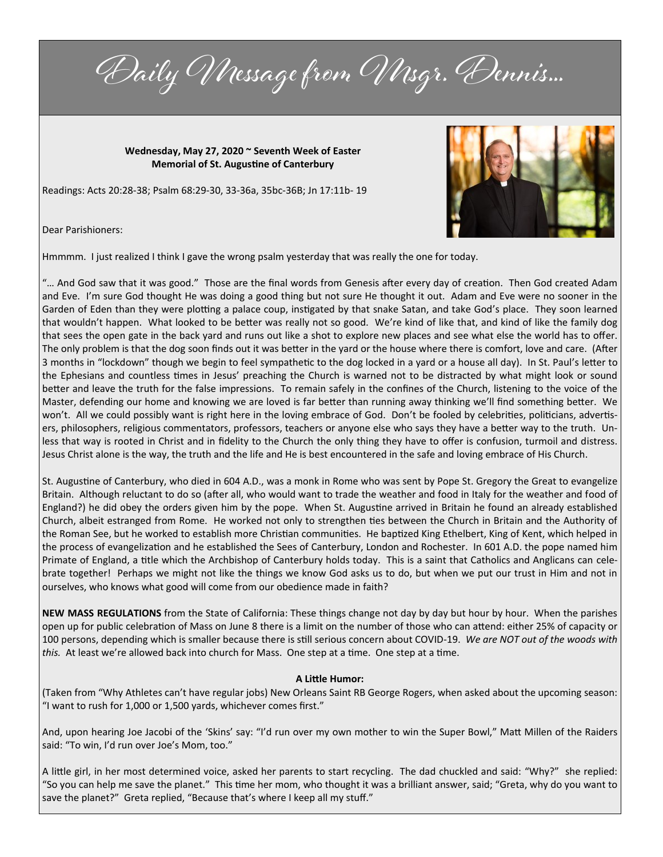Daily Message from Misgr. Dennis...

**Wednesday, May 27, 2020 ~ Seventh Week of Easter Memorial of St. Augustine of Canterbury**

Readings: Acts 20:28-38; Psalm 68:29-30, 33-36a, 35bc-36B; Jn 17:11b- 19



Dear Parishioners:

Hmmmm. I just realized I think I gave the wrong psalm yesterday that was really the one for today.

"… And God saw that it was good." Those are the final words from Genesis after every day of creation. Then God created Adam and Eve. I'm sure God thought He was doing a good thing but not sure He thought it out. Adam and Eve were no sooner in the Garden of Eden than they were plotting a palace coup, instigated by that snake Satan, and take God's place. They soon learned that wouldn't happen. What looked to be better was really not so good. We're kind of like that, and kind of like the family dog that sees the open gate in the back yard and runs out like a shot to explore new places and see what else the world has to offer. The only problem is that the dog soon finds out it was better in the yard or the house where there is comfort, love and care. (After 3 months in "lockdown" though we begin to feel sympathetic to the dog locked in a yard or a house all day). In St. Paul's letter to the Ephesians and countless times in Jesus' preaching the Church is warned not to be distracted by what might look or sound better and leave the truth for the false impressions. To remain safely in the confines of the Church, listening to the voice of the Master, defending our home and knowing we are loved is far better than running away thinking we'll find something better. We won't. All we could possibly want is right here in the loving embrace of God. Don't be fooled by celebrities, politicians, advertisers, philosophers, religious commentators, professors, teachers or anyone else who says they have a better way to the truth. Unless that way is rooted in Christ and in fidelity to the Church the only thing they have to offer is confusion, turmoil and distress. Jesus Christ alone is the way, the truth and the life and He is best encountered in the safe and loving embrace of His Church.

St. Augustine of Canterbury, who died in 604 A.D., was a monk in Rome who was sent by Pope St. Gregory the Great to evangelize Britain. Although reluctant to do so (after all, who would want to trade the weather and food in Italy for the weather and food of England?) he did obey the orders given him by the pope. When St. Augustine arrived in Britain he found an already established Church, albeit estranged from Rome. He worked not only to strengthen ties between the Church in Britain and the Authority of the Roman See, but he worked to establish more Christian communities. He baptized King Ethelbert, King of Kent, which helped in the process of evangelization and he established the Sees of Canterbury, London and Rochester. In 601 A.D. the pope named him Primate of England, a title which the Archbishop of Canterbury holds today. This is a saint that Catholics and Anglicans can celebrate together! Perhaps we might not like the things we know God asks us to do, but when we put our trust in Him and not in ourselves, who knows what good will come from our obedience made in faith?

**NEW MASS REGULATIONS** from the State of California: These things change not day by day but hour by hour. When the parishes open up for public celebration of Mass on June 8 there is a limit on the number of those who can attend: either 25% of capacity or 100 persons, depending which is smaller because there is still serious concern about COVID-19. *We are NOT out of the woods with this.* At least we're allowed back into church for Mass. One step at a time. One step at a time.

## **A Little Humor:**

(Taken from "Why Athletes can't have regular jobs) New Orleans Saint RB George Rogers, when asked about the upcoming season: "I want to rush for 1,000 or 1,500 yards, whichever comes first."

And, upon hearing Joe Jacobi of the 'Skins' say: "I'd run over my own mother to win the Super Bowl," Matt Millen of the Raiders said: "To win, I'd run over Joe's Mom, too."

A little girl, in her most determined voice, asked her parents to start recycling. The dad chuckled and said: "Why?" she replied: "So you can help me save the planet." This time her mom, who thought it was a brilliant answer, said; "Greta, why do you want to save the planet?" Greta replied, "Because that's where I keep all my stuff."